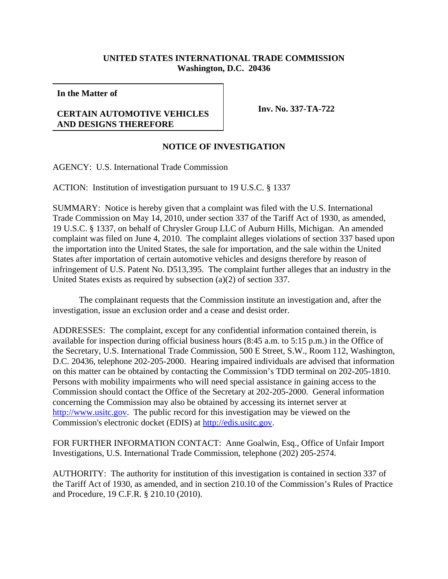## **UNITED STATES INTERNATIONAL TRADE COMMISSION Washington, D.C. 20436**

**In the Matter of**

## **CERTAIN AUTOMOTIVE VEHICLES AND DESIGNS THEREFORE**

**Inv. No. 337-TA-722**

## **NOTICE OF INVESTIGATION**

AGENCY: U.S. International Trade Commission

ACTION: Institution of investigation pursuant to 19 U.S.C. § 1337

SUMMARY: Notice is hereby given that a complaint was filed with the U.S. International Trade Commission on May 14, 2010, under section 337 of the Tariff Act of 1930, as amended, 19 U.S.C. § 1337, on behalf of Chrysler Group LLC of Auburn Hills, Michigan. An amended complaint was filed on June 4, 2010. The complaint alleges violations of section 337 based upon the importation into the United States, the sale for importation, and the sale within the United States after importation of certain automotive vehicles and designs therefore by reason of infringement of U.S. Patent No. D513,395. The complaint further alleges that an industry in the United States exists as required by subsection (a)(2) of section 337.

The complainant requests that the Commission institute an investigation and, after the investigation, issue an exclusion order and a cease and desist order.

ADDRESSES: The complaint, except for any confidential information contained therein, is available for inspection during official business hours (8:45 a.m. to 5:15 p.m.) in the Office of the Secretary, U.S. International Trade Commission, 500 E Street, S.W., Room 112, Washington, D.C. 20436, telephone 202-205-2000. Hearing impaired individuals are advised that information on this matter can be obtained by contacting the Commission's TDD terminal on 202-205-1810. Persons with mobility impairments who will need special assistance in gaining access to the Commission should contact the Office of the Secretary at 202-205-2000. General information concerning the Commission may also be obtained by accessing its internet server at http://www.usitc.gov. The public record for this investigation may be viewed on the Commission's electronic docket (EDIS) at http://edis.usitc.gov.

FOR FURTHER INFORMATION CONTACT: Anne Goalwin, Esq., Office of Unfair Import Investigations, U.S. International Trade Commission, telephone (202) 205-2574.

AUTHORITY: The authority for institution of this investigation is contained in section 337 of the Tariff Act of 1930, as amended, and in section 210.10 of the Commission's Rules of Practice and Procedure, 19 C.F.R. § 210.10 (2010).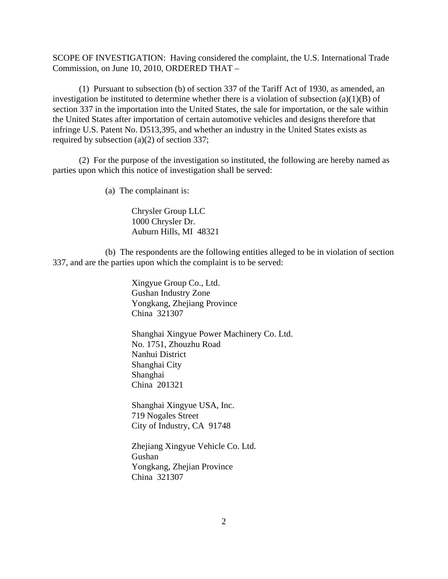SCOPE OF INVESTIGATION: Having considered the complaint, the U.S. International Trade Commission, on June 10, 2010, ORDERED THAT –

(1) Pursuant to subsection (b) of section 337 of the Tariff Act of 1930, as amended, an investigation be instituted to determine whether there is a violation of subsection  $(a)(1)(B)$  of section 337 in the importation into the United States, the sale for importation, or the sale within the United States after importation of certain automotive vehicles and designs therefore that infringe U.S. Patent No. D513,395, and whether an industry in the United States exists as required by subsection (a)(2) of section 337;

(2) For the purpose of the investigation so instituted, the following are hereby named as parties upon which this notice of investigation shall be served:

(a) The complainant is:

Chrysler Group LLC 1000 Chrysler Dr. Auburn Hills, MI 48321

(b) The respondents are the following entities alleged to be in violation of section 337, and are the parties upon which the complaint is to be served:

> Xingyue Group Co., Ltd. Gushan Industry Zone Yongkang, Zhejiang Province China 321307

Shanghai Xingyue Power Machinery Co. Ltd. No. 1751, Zhouzhu Road Nanhui District Shanghai City Shanghai China 201321

Shanghai Xingyue USA, Inc. 719 Nogales Street City of Industry, CA 91748

Zhejiang Xingyue Vehicle Co. Ltd. Gushan Yongkang, Zhejian Province China 321307